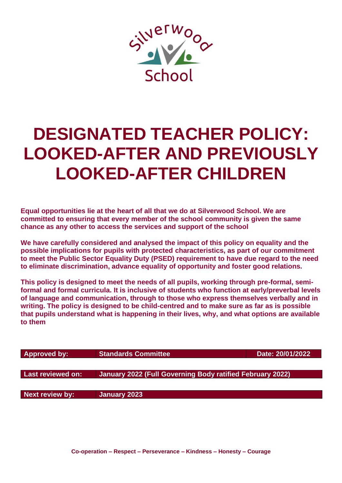

# **DESIGNATED TEACHER POLICY: LOOKED-AFTER AND PREVIOUSLY LOOKED-AFTER CHILDREN**

**Equal opportunities lie at the heart of all that we do at Silverwood School. We are committed to ensuring that every member of the school community is given the same chance as any other to access the services and support of the school**

**We have carefully considered and analysed the impact of this policy on equality and the possible implications for pupils with protected characteristics, as part of our commitment to meet the Public Sector Equality Duty (PSED) requirement to have due regard to the need to eliminate discrimination, advance equality of opportunity and foster good relations.**

**This policy is designed to meet the needs of all pupils, working through pre-formal, semiformal and formal curricula. It is inclusive of students who function at early/preverbal levels of language and communication, through to those who express themselves verbally and in writing. The policy is designed to be child-centred and to make sure as far as is possible that pupils understand what is happening in their lives, why, and what options are available to them**

| <b>Approved by:</b> | <b>Standards Committee</b>                                | Date: 20/01/2022 |
|---------------------|-----------------------------------------------------------|------------------|
|                     |                                                           |                  |
| Last reviewed on:   | January 2022 (Full Governing Body ratified February 2022) |                  |
|                     |                                                           |                  |
| Next review by:     | January 2023                                              |                  |
|                     |                                                           |                  |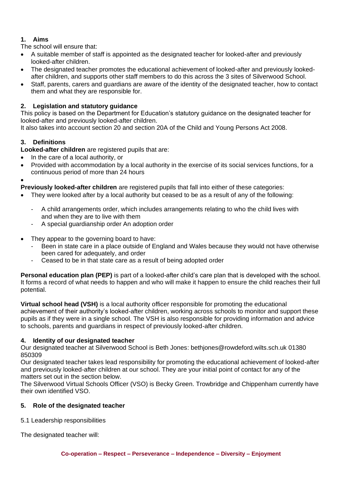# **1. Aims**

The school will ensure that:

- A suitable member of staff is appointed as the designated teacher for looked-after and previously looked-after children.
- The designated teacher promotes the educational achievement of looked-after and previously lookedafter children, and supports other staff members to do this across the 3 sites of Silverwood School.
- Staff, parents, carers and guardians are aware of the identity of the designated teacher, how to contact them and what they are responsible for.

## **2. Legislation and statutory guidance**

This policy is based on the Department for Education's statutory guidance on the designated teacher for looked-after and previously looked-after children.

It also takes into account section 20 and section 20A of the Child and Young Persons Act 2008.

# **3. Definitions**

**Looked-after children** are registered pupils that are:

- In the care of a local authority, or
- Provided with accommodation by a local authority in the exercise of its social services functions, for a continuous period of more than 24 hours

• **Previously looked-after children** are registered pupils that fall into either of these categories:

- They were looked after by a local authority but ceased to be as a result of any of the following:
	- A child arrangements order, which includes arrangements relating to who the child lives with and when they are to live with them
	- A special guardianship order An adoption order
- They appear to the governing board to have:
	- Been in state care in a place outside of England and Wales because they would not have otherwise been cared for adequately, and order
	- Ceased to be in that state care as a result of being adopted order

**Personal education plan (PEP)** is part of a looked-after child's care plan that is developed with the school. It forms a record of what needs to happen and who will make it happen to ensure the child reaches their full potential.

**Virtual school head (VSH)** is a local authority officer responsible for promoting the educational achievement of their authority's looked-after children, working across schools to monitor and support these pupils as if they were in a single school. The VSH is also responsible for providing information and advice to schools, parents and guardians in respect of previously looked-after children.

## **4. Identity of our designated teacher**

Our designated teacher at Silverwood School is Beth Jones: bethjones@rowdeford.wilts.sch.uk 01380 850309

Our designated teacher takes lead responsibility for promoting the educational achievement of looked-after and previously looked-after children at our school. They are your initial point of contact for any of the matters set out in the section below.

The Silverwood Virtual Schools Officer (VSO) is Becky Green. Trowbridge and Chippenham currently have their own identified VSO.

## **5. Role of the designated teacher**

5.1 Leadership responsibilities

The designated teacher will: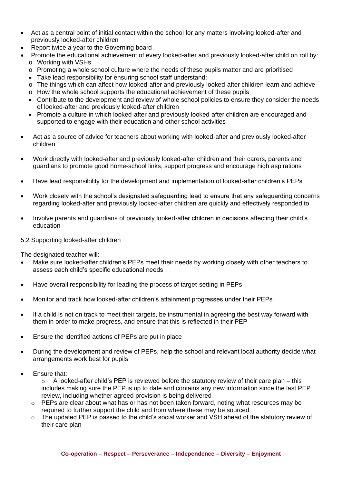- Act as a central point of initial contact within the school for any matters involving looked-after and previously looked-after children
- Report twice a year to the Governing board
	- Promote the educational achievement of every looked-after and previously looked-after child on roll by: o Working with VSHs
		- o Promoting a whole school culture where the needs of these pupils matter and are prioritised
		- Take lead responsibility for ensuring school staff understand:
		- o The things which can affect how looked-after and previously looked-after children learn and achieve
		- o How the whole school supports the educational achievement of these pupils
		- Contribute to the development and review of whole school policies to ensure they consider the needs of looked-after and previously looked-after children
		- Promote a culture in which looked-after and previously looked-after children are encouraged and supported to engage with their education and other school activities
- Act as a source of advice for teachers about working with looked-after and previously looked-after children
- Work directly with looked-after and previously looked-after children and their carers, parents and guardians to promote good home-school links, support progress and encourage high aspirations
- Have lead responsibility for the development and implementation of looked-after children's PEPs
- Work closely with the school's designated safeguarding lead to ensure that any safeguarding concerns regarding looked-after and previously looked-after children are quickly and effectively responded to
- Involve parents and guardians of previously looked-after children in decisions affecting their child's education

#### 5.2 Supporting looked-after children

The designated teacher will:

- Make sure looked-after children's PEPs meet their needs by working closely with other teachers to assess each child's specific educational needs
- Have overall responsibility for leading the process of target-setting in PEPs
- Monitor and track how looked-after children's attainment progresses under their PEPs
- If a child is not on track to meet their targets, be instrumental in agreeing the best way forward with them in order to make progress, and ensure that this is reflected in their PEP
- Ensure the identified actions of PEPs are put in place
- During the development and review of PEPs, help the school and relevant local authority decide what arrangements work best for pupils
- Ensure that:

 $\circ$  A looked-after child's PEP is reviewed before the statutory review of their care plan – this includes making sure the PEP is up to date and contains any new information since the last PEP review, including whether agreed provision is being delivered

- o PEPs are clear about what has or has not been taken forward, noting what resources may be required to further support the child and from where these may be sourced
- o The updated PEP is passed to the child's social worker and VSH ahead of the statutory review of their care plan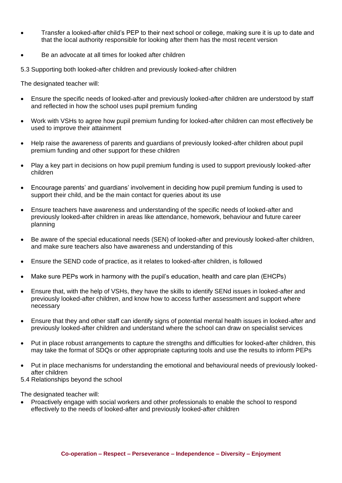- Transfer a looked-after child's PEP to their next school or college, making sure it is up to date and that the local authority responsible for looking after them has the most recent version
- Be an advocate at all times for looked after children

5.3 Supporting both looked-after children and previously looked-after children

The designated teacher will:

- Ensure the specific needs of looked-after and previously looked-after children are understood by staff and reflected in how the school uses pupil premium funding
- Work with VSHs to agree how pupil premium funding for looked-after children can most effectively be used to improve their attainment
- Help raise the awareness of parents and guardians of previously looked-after children about pupil premium funding and other support for these children
- Play a key part in decisions on how pupil premium funding is used to support previously looked-after children
- Encourage parents' and guardians' involvement in deciding how pupil premium funding is used to support their child, and be the main contact for queries about its use
- Ensure teachers have awareness and understanding of the specific needs of looked-after and previously looked-after children in areas like attendance, homework, behaviour and future career planning
- Be aware of the special educational needs (SEN) of looked-after and previously looked-after children, and make sure teachers also have awareness and understanding of this
- Ensure the SEND code of practice, as it relates to looked-after children, is followed
- Make sure PEPs work in harmony with the pupil's education, health and care plan (EHCPs)
- Ensure that, with the help of VSHs, they have the skills to identify SENd issues in looked-after and previously looked-after children, and know how to access further assessment and support where necessary
- Ensure that they and other staff can identify signs of potential mental health issues in looked-after and previously looked-after children and understand where the school can draw on specialist services
- Put in place robust arrangements to capture the strengths and difficulties for looked-after children, this may take the format of SDQs or other appropriate capturing tools and use the results to inform PEPs
- Put in place mechanisms for understanding the emotional and behavioural needs of previously lookedafter children
- 5.4 Relationships beyond the school

The designated teacher will:

• Proactively engage with social workers and other professionals to enable the school to respond effectively to the needs of looked-after and previously looked-after children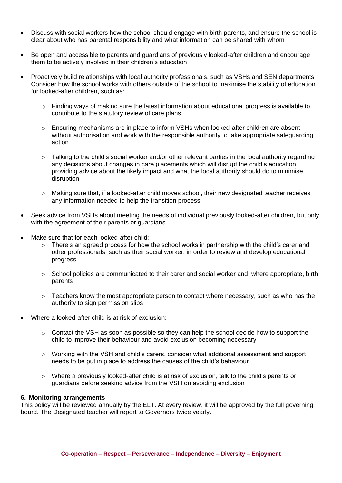- Discuss with social workers how the school should engage with birth parents, and ensure the school is clear about who has parental responsibility and what information can be shared with whom
- Be open and accessible to parents and guardians of previously looked-after children and encourage them to be actively involved in their children's education
- Proactively build relationships with local authority professionals, such as VSHs and SEN departments Consider how the school works with others outside of the school to maximise the stability of education for looked-after children, such as:
	- $\circ$  Finding ways of making sure the latest information about educational progress is available to contribute to the statutory review of care plans
	- o Ensuring mechanisms are in place to inform VSHs when looked-after children are absent without authorisation and work with the responsible authority to take appropriate safeguarding action
	- o Talking to the child's social worker and/or other relevant parties in the local authority regarding any decisions about changes in care placements which will disrupt the child's education, providing advice about the likely impact and what the local authority should do to minimise disruption
	- $\circ$  Making sure that, if a looked-after child moves school, their new designated teacher receives any information needed to help the transition process
- Seek advice from VSHs about meeting the needs of individual previously looked-after children, but only with the agreement of their parents or guardians
- Make sure that for each looked-after child:
	- $\circ$  There's an agreed process for how the school works in partnership with the child's carer and other professionals, such as their social worker, in order to review and develop educational progress
	- $\circ$  School policies are communicated to their carer and social worker and, where appropriate, birth parents
	- $\circ$  Teachers know the most appropriate person to contact where necessary, such as who has the authority to sign permission slips
- Where a looked-after child is at risk of exclusion:
	- $\circ$  Contact the VSH as soon as possible so they can help the school decide how to support the child to improve their behaviour and avoid exclusion becoming necessary
	- $\circ$  Working with the VSH and child's carers, consider what additional assessment and support needs to be put in place to address the causes of the child's behaviour
	- $\circ$  Where a previously looked-after child is at risk of exclusion, talk to the child's parents or guardians before seeking advice from the VSH on avoiding exclusion

#### **6. Monitoring arrangements**

This policy will be reviewed annually by the ELT. At every review, it will be approved by the full governing board. The Designated teacher will report to Governors twice yearly.